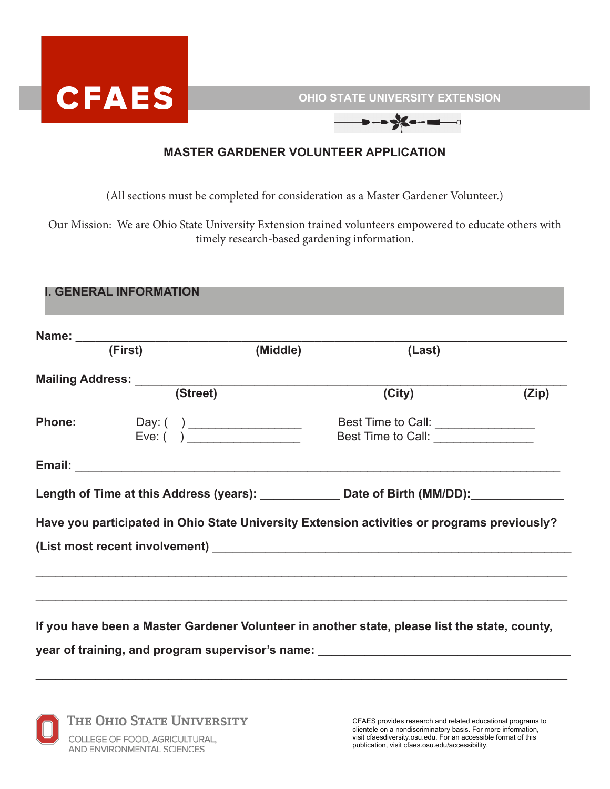

**OHIO STATE UNIVERSITY EXTENSION**

 $\rightarrow$  ->  $\frac{1}{2}$  -  $\rightarrow$ 

## **MASTER GARDENER VOLUNTEER APPLICATION**

(All sections must be completed for consideration as a Master Gardener Volunteer.)

Our Mission: We are Ohio State University Extension trained volunteers empowered to educate others with timely research-based gardening information.

## **I. GENERAL INFORMATION**

| (First)                         | (Middle) | (Last)                                                                                         |       |
|---------------------------------|----------|------------------------------------------------------------------------------------------------|-------|
| Mailing Address: ______________ |          |                                                                                                |       |
| (Street)                        |          | (City)                                                                                         | (Zip) |
|                                 |          | Best Time to Call: _________________                                                           |       |
| Eve: ( )                        |          | Best Time to Call: ________________                                                            |       |
|                                 |          |                                                                                                |       |
|                                 |          | Length of Time at this Address (years): _______________ Date of Birth (MM/DD): _______________ |       |
|                                 |          | Have you participated in Ohio State University Extension activities or programs previously?    |       |
|                                 |          |                                                                                                |       |
|                                 |          |                                                                                                |       |
|                                 |          |                                                                                                |       |
|                                 |          |                                                                                                |       |
|                                 |          | If you have been a Master Gardener Volunteer in another state, please list the state, county,  |       |

 $\mathcal{L}_\text{max} = \frac{1}{2} \sum_{i=1}^{n} \frac{1}{2} \sum_{i=1}^{n} \frac{1}{2} \sum_{i=1}^{n} \frac{1}{2} \sum_{i=1}^{n} \frac{1}{2} \sum_{i=1}^{n} \frac{1}{2} \sum_{i=1}^{n} \frac{1}{2} \sum_{i=1}^{n} \frac{1}{2} \sum_{i=1}^{n} \frac{1}{2} \sum_{i=1}^{n} \frac{1}{2} \sum_{i=1}^{n} \frac{1}{2} \sum_{i=1}^{n} \frac{1}{2} \sum_{i=1}^{n} \frac{1$ 

**year of training, and program supervisor's name:** \_\_\_\_\_\_\_\_\_\_\_\_\_\_\_\_\_\_\_\_\_\_\_\_\_\_\_\_\_\_\_\_\_\_\_\_\_\_



CFAES provides research and related educational programs to clientele on a nondiscriminatory basis. For more information, visit cfaesdiversity.osu.edu. For an accessible format of this publication, visit cfaes.osu.edu/accessibility.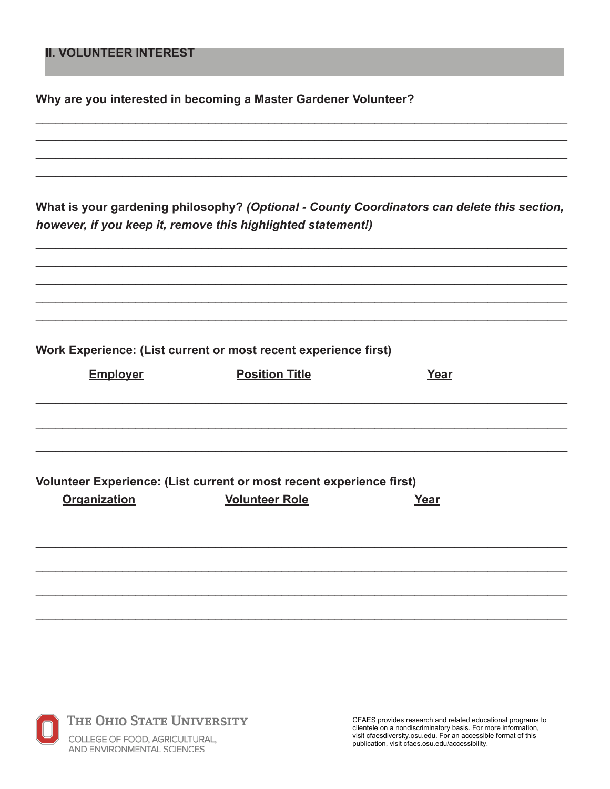## **II. VOLUNTEER INTEREST**

Why are you interested in becoming a Master Gardener Volunteer?

What is your gardening philosophy? (Optional - County Coordinators can delete this section, however, if you keep it, remove this highlighted statement!)

Work Experience: (List current or most recent experience first)

| <b>Employer</b>     | <b>Position Title</b>                                                | Year |  |
|---------------------|----------------------------------------------------------------------|------|--|
|                     |                                                                      |      |  |
|                     |                                                                      |      |  |
|                     |                                                                      |      |  |
|                     | Volunteer Experience: (List current or most recent experience first) |      |  |
| <b>Organization</b> | <b>Volunteer Role</b>                                                | Year |  |
|                     |                                                                      |      |  |
|                     |                                                                      |      |  |
|                     |                                                                      |      |  |



CFAES provides research and related educational programs to clientele on a nondiscriminatory basis. For more information, visit cfaesdiversity.osu.edu. For an accessible format of this publication, visit cfaes.osu.edu/accessibility.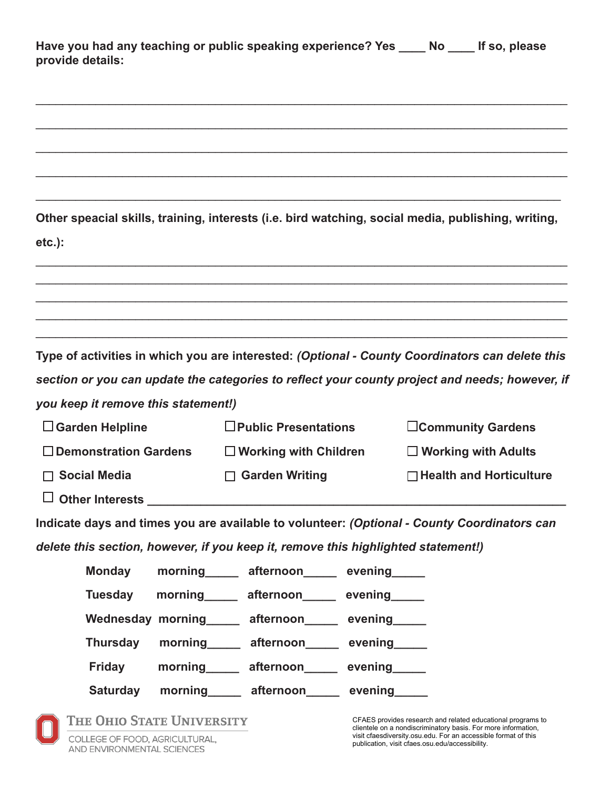| Have you had any teaching or public speaking experience? Yes | <b>Note</b> | If so, please |
|--------------------------------------------------------------|-------------|---------------|
| provide details:                                             |             |               |

\_\_\_\_\_\_\_\_\_\_\_\_\_\_\_\_\_\_\_\_\_\_\_\_\_\_\_\_\_\_\_\_\_\_\_\_\_\_\_\_\_\_\_\_\_\_\_\_\_\_\_\_\_\_\_\_\_\_\_\_\_\_\_\_\_\_\_\_\_\_\_\_\_\_\_\_\_\_\_\_

\_\_\_\_\_\_\_\_\_\_\_\_\_\_\_\_\_\_\_\_\_\_\_\_\_\_\_\_\_\_\_\_\_\_\_\_\_\_\_\_\_\_\_\_\_\_\_\_\_\_\_\_\_\_\_\_\_\_\_\_\_\_\_\_\_\_\_\_\_\_\_\_\_\_\_\_\_\_\_\_

\_\_\_\_\_\_\_\_\_\_\_\_\_\_\_\_\_\_\_\_\_\_\_\_\_\_\_\_\_\_\_\_\_\_\_\_\_\_\_\_\_\_\_\_\_\_\_\_\_\_\_\_\_\_\_\_\_\_\_\_\_\_\_\_\_\_\_\_\_\_\_\_\_\_\_\_\_\_\_\_

\_\_\_\_\_\_\_\_\_\_\_\_\_\_\_\_\_\_\_\_\_\_\_\_\_\_\_\_\_\_\_\_\_\_\_\_\_\_\_\_\_\_\_\_\_\_\_\_\_\_\_\_\_\_\_\_\_\_\_\_\_\_\_\_\_\_\_\_\_\_\_\_\_\_\_\_\_\_\_\_

\_\_\_\_\_\_\_\_\_\_\_\_\_\_\_\_\_\_\_\_\_\_\_\_\_\_\_\_\_\_\_\_\_\_\_\_\_\_\_\_\_\_\_\_\_\_\_\_\_\_\_\_\_\_\_\_\_\_\_\_\_\_\_\_\_\_\_\_\_\_\_\_\_\_\_\_\_\_\_

|                                     | Other speacial skills, training, interests (i.e. bird watching, social media, publishing, writing, |                                |
|-------------------------------------|----------------------------------------------------------------------------------------------------|--------------------------------|
| $etc.$ ):                           |                                                                                                    |                                |
|                                     |                                                                                                    |                                |
|                                     |                                                                                                    |                                |
|                                     |                                                                                                    |                                |
|                                     |                                                                                                    |                                |
|                                     | Type of activities in which you are interested: (Optional - County Coordinators can delete this    |                                |
|                                     | section or you can update the categories to reflect your county project and needs; however, if     |                                |
| you keep it remove this statement!) |                                                                                                    |                                |
| $\Box$ Garden Helpline              | $\square$ Public Presentations                                                                     | □Community Gardens             |
| □ Demonstration Gardens             | $\square$ Working with Children                                                                    | □ Working with Adults          |
| $\Box$ Social Media                 | <b>Garden Writing</b><br>$\Box$                                                                    | $\Box$ Health and Horticulture |
| $\Box$ Other Interests $\Box$       |                                                                                                    |                                |
|                                     | Indicate days and times you are available to volunteer: (Optional - County Coordinators can        |                                |
|                                     | delete this section, however, if you keep it, remove this highlighted statement!)                  |                                |
| <b>Monday</b>                       | morning afternoon evening                                                                          |                                |
| Tuesday                             | morning afternoon evening                                                                          |                                |

Wednesday morning \_\_\_\_ afternoon\_\_\_\_ evening

 **Thursday morning\_\_\_\_\_ afternoon\_\_\_\_\_ evening\_\_\_\_\_**

Friday morning\_\_\_\_\_ afternoon\_\_\_\_\_ evening\_\_\_\_\_

Saturday morning\_\_\_\_\_ afternoon\_\_\_\_\_ evening\_

COLLEGE OF FOOD, AGRICULTURAL, AND ENVIRONMENTAL SCIENCES

THE OHIO STATE UNIVERSITY

CFAES provides research and related educational programs to clientele on a nondiscriminatory basis. For more information, visit cfaesdiversity.osu.edu. For an accessible format of this publication, visit cfaes.osu.edu/accessibility.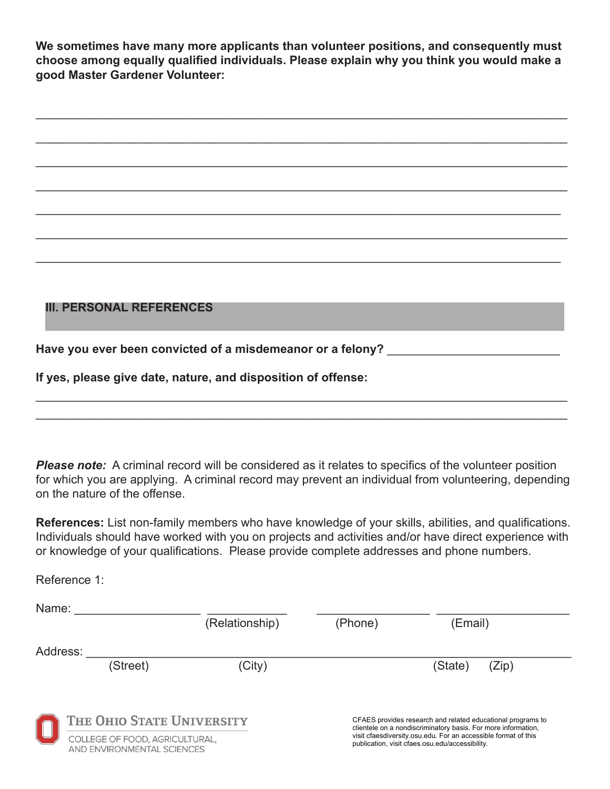**We sometimes have many more applicants than volunteer positions, and consequently must choose among equally qualified individuals. Please explain why you think you would make a good Master Gardener Volunteer:** 

 $\mathcal{L}_\text{max} = \frac{1}{2} \sum_{i=1}^{n} \frac{1}{2} \sum_{i=1}^{n} \frac{1}{2} \sum_{i=1}^{n} \frac{1}{2} \sum_{i=1}^{n} \frac{1}{2} \sum_{i=1}^{n} \frac{1}{2} \sum_{i=1}^{n} \frac{1}{2} \sum_{i=1}^{n} \frac{1}{2} \sum_{i=1}^{n} \frac{1}{2} \sum_{i=1}^{n} \frac{1}{2} \sum_{i=1}^{n} \frac{1}{2} \sum_{i=1}^{n} \frac{1}{2} \sum_{i=1}^{n} \frac{1$ 

 $\mathcal{L}_\text{max} = \frac{1}{2} \sum_{i=1}^{n} \frac{1}{2} \sum_{i=1}^{n} \frac{1}{2} \sum_{i=1}^{n} \frac{1}{2} \sum_{i=1}^{n} \frac{1}{2} \sum_{i=1}^{n} \frac{1}{2} \sum_{i=1}^{n} \frac{1}{2} \sum_{i=1}^{n} \frac{1}{2} \sum_{i=1}^{n} \frac{1}{2} \sum_{i=1}^{n} \frac{1}{2} \sum_{i=1}^{n} \frac{1}{2} \sum_{i=1}^{n} \frac{1}{2} \sum_{i=1}^{n} \frac{1$ 

 $\mathcal{L}_\text{max} = \frac{1}{2} \sum_{i=1}^{n} \frac{1}{2} \sum_{i=1}^{n} \frac{1}{2} \sum_{i=1}^{n} \frac{1}{2} \sum_{i=1}^{n} \frac{1}{2} \sum_{i=1}^{n} \frac{1}{2} \sum_{i=1}^{n} \frac{1}{2} \sum_{i=1}^{n} \frac{1}{2} \sum_{i=1}^{n} \frac{1}{2} \sum_{i=1}^{n} \frac{1}{2} \sum_{i=1}^{n} \frac{1}{2} \sum_{i=1}^{n} \frac{1}{2} \sum_{i=1}^{n} \frac{1$ 

 $\mathcal{L}_\text{max} = \frac{1}{2} \sum_{i=1}^{n} \frac{1}{2} \sum_{i=1}^{n} \frac{1}{2} \sum_{i=1}^{n} \frac{1}{2} \sum_{i=1}^{n} \frac{1}{2} \sum_{i=1}^{n} \frac{1}{2} \sum_{i=1}^{n} \frac{1}{2} \sum_{i=1}^{n} \frac{1}{2} \sum_{i=1}^{n} \frac{1}{2} \sum_{i=1}^{n} \frac{1}{2} \sum_{i=1}^{n} \frac{1}{2} \sum_{i=1}^{n} \frac{1}{2} \sum_{i=1}^{n} \frac{1$ 

 $\mathcal{L}_\text{max} = \frac{1}{2} \sum_{i=1}^{n} \frac{1}{2} \sum_{i=1}^{n} \frac{1}{2} \sum_{i=1}^{n} \frac{1}{2} \sum_{i=1}^{n} \frac{1}{2} \sum_{i=1}^{n} \frac{1}{2} \sum_{i=1}^{n} \frac{1}{2} \sum_{i=1}^{n} \frac{1}{2} \sum_{i=1}^{n} \frac{1}{2} \sum_{i=1}^{n} \frac{1}{2} \sum_{i=1}^{n} \frac{1}{2} \sum_{i=1}^{n} \frac{1}{2} \sum_{i=1}^{n} \frac{1$ 

 $\mathcal{L}_\text{max} = \frac{1}{2} \sum_{i=1}^{n} \frac{1}{2} \sum_{i=1}^{n} \frac{1}{2} \sum_{i=1}^{n} \frac{1}{2} \sum_{i=1}^{n} \frac{1}{2} \sum_{i=1}^{n} \frac{1}{2} \sum_{i=1}^{n} \frac{1}{2} \sum_{i=1}^{n} \frac{1}{2} \sum_{i=1}^{n} \frac{1}{2} \sum_{i=1}^{n} \frac{1}{2} \sum_{i=1}^{n} \frac{1}{2} \sum_{i=1}^{n} \frac{1}{2} \sum_{i=1}^{n} \frac{1$ 

## $\mathcal{L}_\text{max} = \frac{1}{2} \sum_{i=1}^{n} \frac{1}{2} \sum_{i=1}^{n} \frac{1}{2} \sum_{i=1}^{n} \frac{1}{2} \sum_{i=1}^{n} \frac{1}{2} \sum_{i=1}^{n} \frac{1}{2} \sum_{i=1}^{n} \frac{1}{2} \sum_{i=1}^{n} \frac{1}{2} \sum_{i=1}^{n} \frac{1}{2} \sum_{i=1}^{n} \frac{1}{2} \sum_{i=1}^{n} \frac{1}{2} \sum_{i=1}^{n} \frac{1}{2} \sum_{i=1}^{n} \frac{1$ **III. PERSONAL REFERENCES**

Have you ever been convicted of a misdemeanor or a felony?

**If yes, please give date, nature, and disposition of offense:** 

Reference 1:

**Please note:** A criminal record will be considered as it relates to specifics of the volunteer position for which you are applying. A criminal record may prevent an individual from volunteering, depending on the nature of the offense.

 $\mathcal{L}_\text{max} = \frac{1}{2} \sum_{i=1}^{n} \frac{1}{2} \sum_{i=1}^{n} \frac{1}{2} \sum_{i=1}^{n} \frac{1}{2} \sum_{i=1}^{n} \frac{1}{2} \sum_{i=1}^{n} \frac{1}{2} \sum_{i=1}^{n} \frac{1}{2} \sum_{i=1}^{n} \frac{1}{2} \sum_{i=1}^{n} \frac{1}{2} \sum_{i=1}^{n} \frac{1}{2} \sum_{i=1}^{n} \frac{1}{2} \sum_{i=1}^{n} \frac{1}{2} \sum_{i=1}^{n} \frac{1$  $\mathcal{L}_\text{max} = \frac{1}{2} \sum_{i=1}^{n} \frac{1}{2} \sum_{i=1}^{n} \frac{1}{2} \sum_{i=1}^{n} \frac{1}{2} \sum_{i=1}^{n} \frac{1}{2} \sum_{i=1}^{n} \frac{1}{2} \sum_{i=1}^{n} \frac{1}{2} \sum_{i=1}^{n} \frac{1}{2} \sum_{i=1}^{n} \frac{1}{2} \sum_{i=1}^{n} \frac{1}{2} \sum_{i=1}^{n} \frac{1}{2} \sum_{i=1}^{n} \frac{1}{2} \sum_{i=1}^{n} \frac{1$ 

**References:** List non-family members who have knowledge of your skills, abilities, and qualifications. Individuals should have worked with you on projects and activities and/or have direct experience with or knowledge of your qualifications. Please provide complete addresses and phone numbers.

| Name:    |                                                              |                |         |                                                                                                                              |  |
|----------|--------------------------------------------------------------|----------------|---------|------------------------------------------------------------------------------------------------------------------------------|--|
|          |                                                              | (Relationship) | (Phone) | (Email)                                                                                                                      |  |
| Address: |                                                              |                |         |                                                                                                                              |  |
|          | (Street)                                                     | (City)         |         | (State)<br>(Zip)                                                                                                             |  |
|          |                                                              |                |         |                                                                                                                              |  |
|          | THE OHIO STATE UNIVERSITY                                    |                |         | CFAES provides research and related educational programs to<br>clientele on a nondiscriminatory basis. For more information, |  |
|          | COLLEGE OF FOOD, AGRICULTURAL,<br>AND ENVIRONMENTAL SCIENCES |                |         | visit cfaesdiversity.osu.edu. For an accessible format of this<br>publication, visit cfaes.osu.edu/accessibility.            |  |